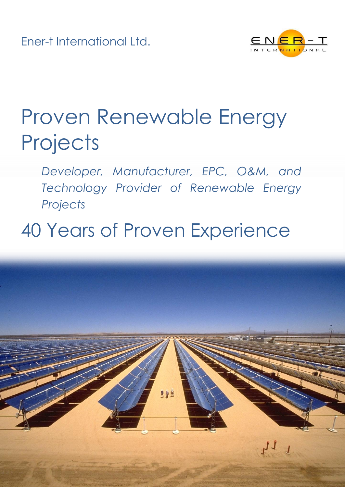Ener-t International Ltd.



# Proven Renewable Energy **Projects**

*Developer, Manufacturer, EPC, O&M, and Technology Provider of Renewable Energy Projects*

## 40 Years of Proven Experience

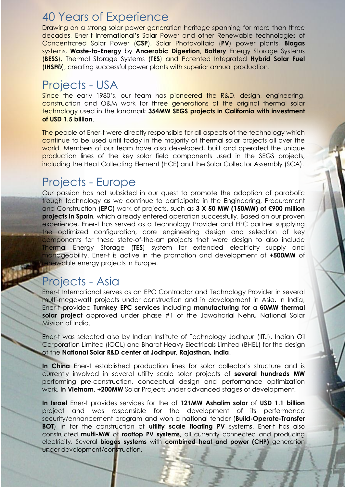#### 40 Years of Experience

Drawing on a strong solar power generation heritage spanning for more than three decades, Ener-t International's Solar Power and other Renewable technologies of Concentrated Solar Power (**CSP**), Solar Photovoltaic (**PV**) power plants, **Biogas** systems, **Waste-to-Energy** by **Anaerobic Digestion**, **Battery** Energy Storage Systems (**BESS**), Thermal Storage Systems (**TES**) and Patented Integrated **Hybrid Solar Fuel** (**IHSF®**), creating successful power plants with superior annual production.

## Projects - USA

Since the early 1980's, our team has pioneered the R&D, design, engineering, construction and O&M work for three generations of the original thermal solar technology used in the landmark **354MW SEGS projects in California with investment of USD 1.5 billion**.

The people of Ener-t were directly responsible for all aspects of the technology which continue to be used until today in the majority of thermal solar projects all over the world. Members of our team have also developed, built and operated the unique production lines of the key solar field components used in the SEGS projects, including the Heat Collecting Element (HCE) and the Solar Collector Assembly (SCA).

#### Projects - Europe

Our passion has not subsided in our quest to promote the adoption of parabolic trough technology as we continue to participate in the Engineering, Procurement and Construction (**EPC**) work of projects, such as **3 X 50 MW (150MW) of €900 million projects in Spain**, which already entered operation successfully. Based on our proven experience, Ener-t has served as a Technology Provider and EPC partner supplying the optimized configuration, core engineering design and selection of key components for these state-of-the-art projects that were design to also include Thermal Energy Storage (**TES**) system for extended electricity supply and manageability. Ener-t is active in the promotion and development of **+500MW** of renewable energy projects in Europe.

## Projects - Asia

Ener-t International serves as an EPC Contractor and Technology Provider in several multi-megawatt projects under construction and in development in Asia. In India, Ener-t provided **Turnkey EPC services** including **manufacturing** for a **60MW thermal solar project** approved under phase #1 of the Jawaharlal Nehru National Solar Mission of India.

Ener-t was selected also by Indian Institute of Technology Jodhpur (IITJ), Indian Oil Corporation Limited (IOCL) and Bharat Heavy Electricals Limited (BHEL) for the design of the **National Solar R&D center at Jodhpur, Rajasthan, India**.

**In China** Ener-t established production lines for solar collector's structure and is currently involved in several utility scale solar projects of **several hundreds MW** performing pre-construction, conceptual design and performance optimization work. **In Vietnam**, **+200MW** Solar Projects under advanced stages of development.

**In Israel** Ener-t provides services for the of **121MW Ashalim solar** of **USD 1.1 billion** project and was responsible for the development of its performance security/enhancement program and won a national tender (**Build-Operate-Transfer BOT**) in for the construction of **utility scale floating PV** systems. Ener-t has also constructed **multi-MW** of **rooftop PV systems**, all currently connected and producing electricity. Several **biogas systems** with **combined heat and power (CHP)** generation under development/construction.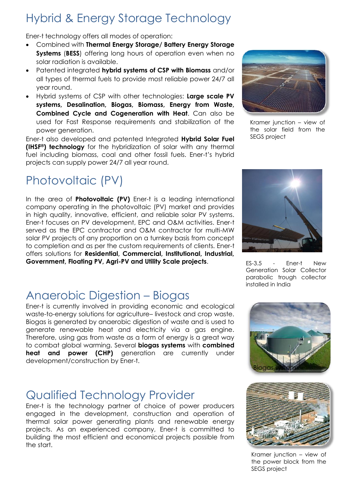## Hybrid & Energy Storage Technology

Ener-t technology offers all modes of operation:

- Combined with **Thermal Energy Storage/ Battery Energy Storage Systems** (**BESS**) offering long hours of operation even when no solar radiation is available.
- Patented integrated **hybrid systems of CSP with Biomass** and/or all types of thermal fuels to provide most reliable power 24/7 all year round.
- Hybrid systems of CSP with other technologies: **Large scale PV systems, Desalination, Biogas, Biomass, Energy from Waste, Combined Cycle and Cogeneration with Heat**. Can also be used for Fast Response requirements and stabilization of the power generation.

Ener-t also developed and patented Integrated **Hybrid Solar Fuel (IHSF®) technology** for the hybridization of solar with any thermal fuel including biomass, coal and other fossil fuels. Ener-t's hybrid projects can supply power 24/7 all year round.

## Photovoltaic (PV)

In the area of **Photovoltaic (PV)** Ener-t is a leading international company operating in the photovoltaic (PV) market and provides in high quality, innovative, efficient, and reliable solar PV systems. Ener-t focuses on PV development, EPC and O&M activities. Ener-t served as the EPC contractor and O&M contractor for multi-MW solar PV projects of any proportion on a turnkey basis from concept to completion and as per the custom requirements of clients. Ener-t offers solutions for **Residential, Commercial, Institutional, Industrial, Government, Floating PV, Agri-PV and Utility Scale projects**.

## Anaerobic Digestion – Biogas

Ener-t is currently involved in providing economic and ecological waste-to-energy solutions for agriculture– livestock and crop waste. Biogas is generated by anaerobic digestion of waste and is used to generate renewable heat and electricity via a gas engine. Therefore, using gas from waste as a form of energy is a great way to combat global warming. Several **biogas systems** with **combined heat and power (CHP)** generation are currently under development/construction by Ener-t.

## Qualified Technology Provider

Ener-t is the technology partner of choice of power producers engaged in the development, construction and operation of thermal solar power generating plants and renewable energy projects. As an experienced company, Ener-t is committed to building the most efficient and economical projects possible from the start.



Kramer junction – view of the solar field from the SEGS project



ES-3.5 - Ener-t New Generation Solar Collector parabolic trough collector installed in India





Kramer junction – view of the power block from the SEGS project